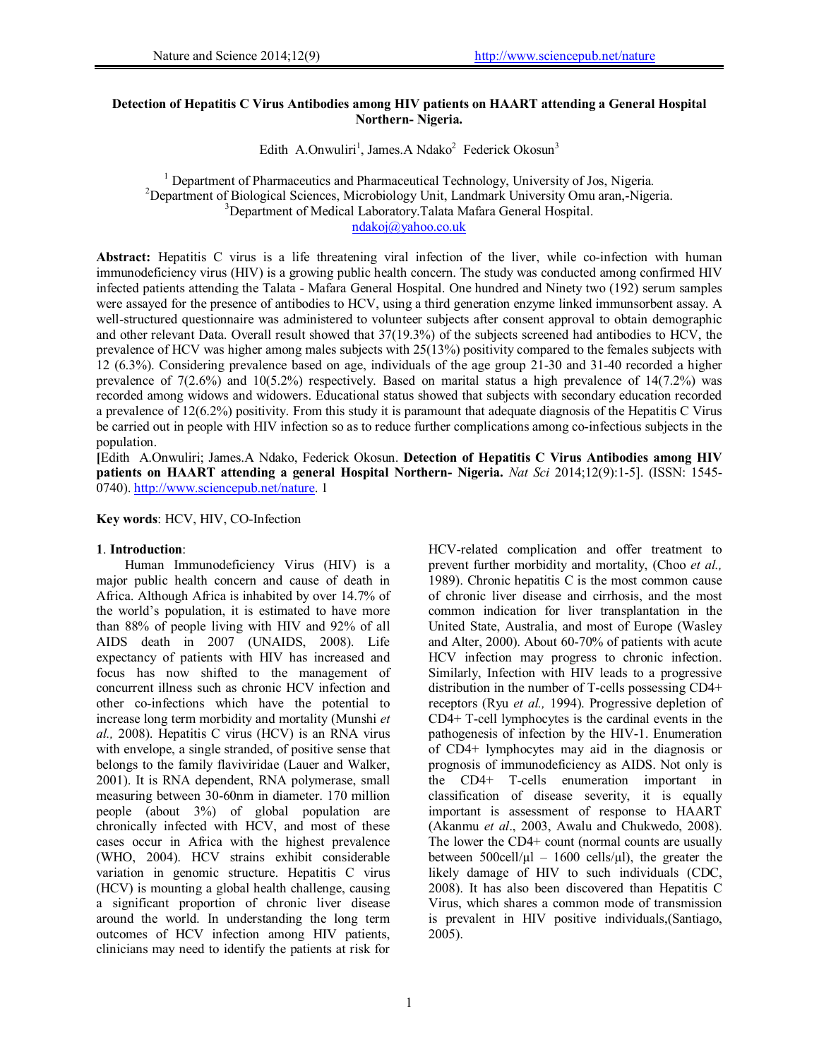## **Detection of Hepatitis C Virus Antibodies among HIV patients on HAART attending a General Hospital Northern- Nigeria.**

Edith A.Onwuliri<sup>1</sup>, James.A Ndako<sup>2</sup> Federick Okosun<sup>3</sup>

<sup>1</sup> Department of Pharmaceutics and Pharmaceutical Technology, University of Jos, Nigeria.<br><sup>2</sup> Department of Biological Sciences, Microbiology, Unit, Landmark University Omy aren. Nige <sup>2</sup>Department of Biological Sciences, Microbiology Unit, Landmark University Omu aran,-Nigeria. <sup>3</sup>Department of Medical Laboratory. Talata Mafara General Hospital.

ndakoj@yahoo.co.uk

**Abstract:** Hepatitis C virus is a life threatening viral infection of the liver, while co-infection with human immunodeficiency virus (HIV) is a growing public health concern. The study was conducted among confirmed HIV infected patients attending the Talata - Mafara General Hospital. One hundred and Ninety two (192) serum samples were assayed for the presence of antibodies to HCV, using a third generation enzyme linked immunsorbent assay. A well-structured questionnaire was administered to volunteer subjects after consent approval to obtain demographic and other relevant Data. Overall result showed that 37(19.3%) of the subjects screened had antibodies to HCV, the prevalence of HCV was higher among males subjects with 25(13%) positivity compared to the females subjects with 12 (6.3%). Considering prevalence based on age, individuals of the age group 21-30 and 31-40 recorded a higher prevalence of 7(2.6%) and 10(5.2%) respectively. Based on marital status a high prevalence of 14(7.2%) was recorded among widows and widowers. Educational status showed that subjects with secondary education recorded a prevalence of 12(6.2%) positivity. From this study it is paramount that adequate diagnosis of the Hepatitis C Virus be carried out in people with HIV infection so as to reduce further complications among co-infectious subjects in the population.

**[**Edith A.Onwuliri; James.A Ndako, Federick Okosun. **Detection of Hepatitis C Virus Antibodies among HIV patients on HAART attending a general Hospital Northern- Nigeria.** *Nat Sci* 2014;12(9):1-5]. (ISSN: 1545- 0740). http://www.sciencepub.net/nature. 1

**Key words**: HCV, HIV, CO-Infection

## **1**. **Introduction**:

Human Immunodeficiency Virus (HIV) is a major public health concern and cause of death in Africa. Although Africa is inhabited by over 14.7% of the world's population, it is estimated to have more than 88% of people living with HIV and 92% of all AIDS death in 2007 (UNAIDS, 2008). Life expectancy of patients with HIV has increased and focus has now shifted to the management of concurrent illness such as chronic HCV infection and other co-infections which have the potential to increase long term morbidity and mortality (Munshi *et al.,* 2008). Hepatitis C virus (HCV) is an RNA virus with envelope, a single stranded, of positive sense that belongs to the family flaviviridae (Lauer and Walker, 2001). It is RNA dependent, RNA polymerase, small measuring between 30-60nm in diameter. 170 million people (about 3%) of global population are chronically infected with HCV, and most of these cases occur in Africa with the highest prevalence (WHO, 2004). HCV strains exhibit considerable variation in genomic structure. Hepatitis C virus (HCV) is mounting a global health challenge, causing a significant proportion of chronic liver disease around the world. In understanding the long term outcomes of HCV infection among HIV patients, clinicians may need to identify the patients at risk for

HCV-related complication and offer treatment to prevent further morbidity and mortality, (Choo *et al.,* 1989). Chronic hepatitis C is the most common cause of chronic liver disease and cirrhosis, and the most common indication for liver transplantation in the United State, Australia, and most of Europe (Wasley and Alter, 2000). About 60-70% of patients with acute HCV infection may progress to chronic infection. Similarly, Infection with HIV leads to a progressive distribution in the number of T-cells possessing CD4+ receptors (Ryu *et al.,* 1994). Progressive depletion of CD4+ T-cell lymphocytes is the cardinal events in the pathogenesis of infection by the HIV-1. Enumeration of CD4+ lymphocytes may aid in the diagnosis or prognosis of immunodeficiency as AIDS. Not only is the CD4+ T-cells enumeration important in classification of disease severity, it is equally important is assessment of response to HAART (Akanmu *et al*., 2003, Awalu and Chukwedo, 2008). The lower the CD4+ count (normal counts are usually between  $500 \text{cell/}\mu$ l –  $1600 \text{ cells/}\mu$ ), the greater the likely damage of HIV to such individuals (CDC, 2008). It has also been discovered than Hepatitis C Virus, which shares a common mode of transmission is prevalent in HIV positive individuals,(Santiago, 2005).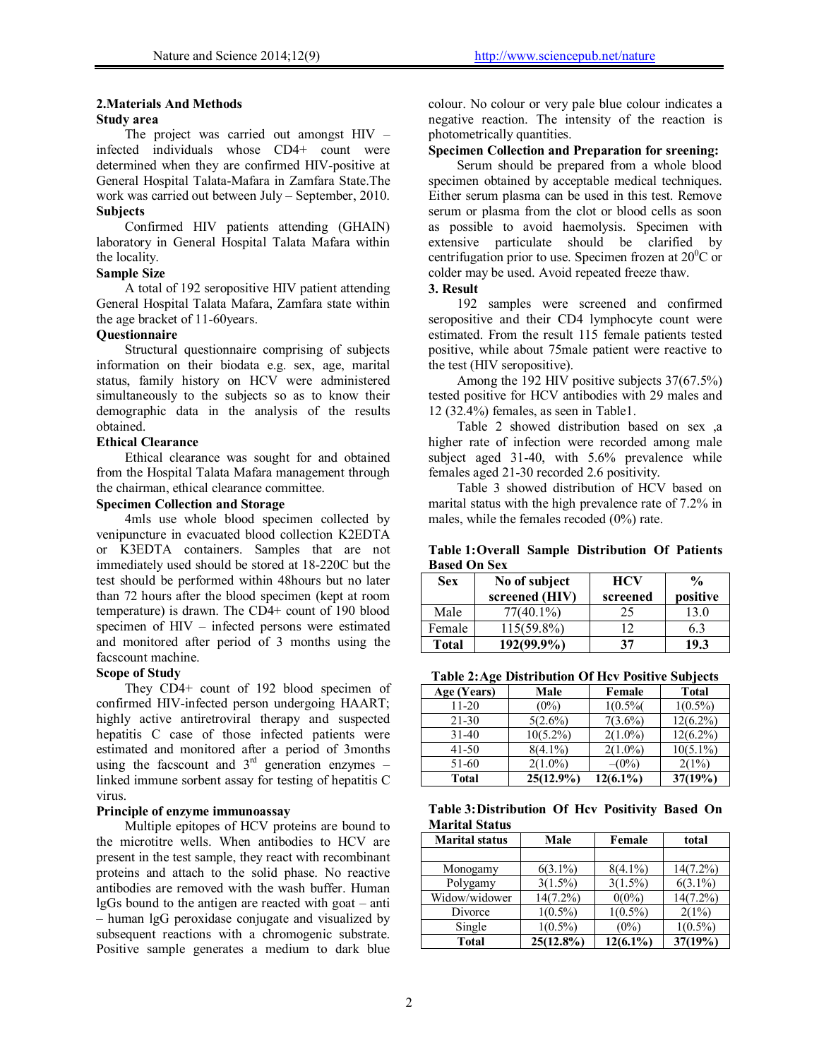# **2.Materials And Methods**

#### **Study area**

The project was carried out amongst HIV – infected individuals whose CD4+ count were determined when they are confirmed HIV-positive at General Hospital Talata-Mafara in Zamfara State.The work was carried out between July – September, 2010. **Subjects** 

Confirmed HIV patients attending (GHAIN) laboratory in General Hospital Talata Mafara within the locality.

# **Sample Size**

A total of 192 seropositive HIV patient attending General Hospital Talata Mafara, Zamfara state within the age bracket of 11-60years.

### **Questionnaire**

Structural questionnaire comprising of subjects information on their biodata e.g. sex, age, marital status, family history on HCV were administered simultaneously to the subjects so as to know their demographic data in the analysis of the results obtained.

#### **Ethical Clearance**

Ethical clearance was sought for and obtained from the Hospital Talata Mafara management through the chairman, ethical clearance committee.

## **Specimen Collection and Storage**

4mls use whole blood specimen collected by venipuncture in evacuated blood collection K2EDTA or K3EDTA containers. Samples that are not immediately used should be stored at 18-220C but the test should be performed within 48hours but no later than 72 hours after the blood specimen (kept at room temperature) is drawn. The CD4+ count of 190 blood specimen of HIV – infected persons were estimated and monitored after period of 3 months using the facscount machine.

#### **Scope of Study**

They CD4+ count of 192 blood specimen of confirmed HIV-infected person undergoing HAART; highly active antiretroviral therapy and suspected hepatitis C case of those infected patients were estimated and monitored after a period of 3months using the facscount and  $3<sup>rd</sup>$  generation enzymes – linked immune sorbent assay for testing of hepatitis C virus.

#### **Principle of enzyme immunoassay**

Multiple epitopes of HCV proteins are bound to the microtitre wells. When antibodies to HCV are present in the test sample, they react with recombinant proteins and attach to the solid phase. No reactive antibodies are removed with the wash buffer. Human lgGs bound to the antigen are reacted with goat – anti – human lgG peroxidase conjugate and visualized by subsequent reactions with a chromogenic substrate. Positive sample generates a medium to dark blue

colour. No colour or very pale blue colour indicates a negative reaction. The intensity of the reaction is photometrically quantities.

# **Specimen Collection and Preparation for sreening:**

Serum should be prepared from a whole blood specimen obtained by acceptable medical techniques. Either serum plasma can be used in this test. Remove serum or plasma from the clot or blood cells as soon as possible to avoid haemolysis. Specimen with extensive particulate should be clarified by centrifugation prior to use. Specimen frozen at  $20^0$ C or colder may be used. Avoid repeated freeze thaw.

## **3. Result**

192 samples were screened and confirmed seropositive and their CD4 lymphocyte count were estimated. From the result 115 female patients tested positive, while about 75male patient were reactive to the test (HIV seropositive).

Among the 192 HIV positive subjects 37(67.5%) tested positive for HCV antibodies with 29 males and 12 (32.4%) females, as seen in Table1.

Table 2 showed distribution based on sex ,a higher rate of infection were recorded among male subject aged 31-40, with 5.6% prevalence while females aged 21-30 recorded 2.6 positivity.

Table 3 showed distribution of HCV based on marital status with the high prevalence rate of 7.2% in males, while the females recoded (0%) rate.

**Table 1: Overall Sample Distribution Of Patients Based On Sex** 

| <b>Sex</b>   | No of subject<br>screened (HIV) | <b>HCV</b><br>screened | $\frac{0}{0}$<br>positive |
|--------------|---------------------------------|------------------------|---------------------------|
| Male         | $77(40.1\%)$                    | 25                     | 3.0                       |
| Female       | $115(59.8\%)$                   | ר ו                    | 63                        |
| <b>Total</b> | 192(99.9%)                      | 37                     |                           |

**Table 2: Age Distribution Of Hcv Positive Subjects** 

| Age (Years) | Male         | Female     | <b>Total</b> |
|-------------|--------------|------------|--------------|
| $11 - 20$   | $(0\%)$      | $1(0.5\%$  | $1(0.5\%)$   |
| 21-30       | $5(2.6\%)$   | $7(3.6\%)$ | $12(6.2\%)$  |
| $31-40$     | $10(5.2\%)$  | $2(1.0\%)$ | $12(6.2\%)$  |
| $41 - 50$   | $8(4.1\%)$   | $2(1.0\%)$ | $10(5.1\%)$  |
| 51-60       | $2(1.0\%)$   | $-(0%)$    | 2(1%)        |
| Total       | $25(12.9\%)$ | 12(6.1%)   | 37(19%)      |

**Table 3: Distribution Of Hcv Positivity Based On Marital Status** 

| <b>Marital status</b> | Male         | Female      | total       |
|-----------------------|--------------|-------------|-------------|
|                       |              |             |             |
| Monogamy              | $6(3.1\%)$   | $8(4.1\%)$  | $14(7.2\%)$ |
| Polygamy              | $3(1.5\%)$   | $3(1.5\%)$  | $6(3.1\%)$  |
| Widow/widower         | $14(7.2\%)$  | $0(0\%)$    | $14(7.2\%)$ |
| Divorce               | $1(0.5\%)$   | $1(0.5\%)$  | 2(1%)       |
| Single                | $1(0.5\%)$   | $(0\%)$     | $1(0.5\%)$  |
| <b>Total</b>          | $25(12.8\%)$ | $12(6.1\%)$ | 37(19%)     |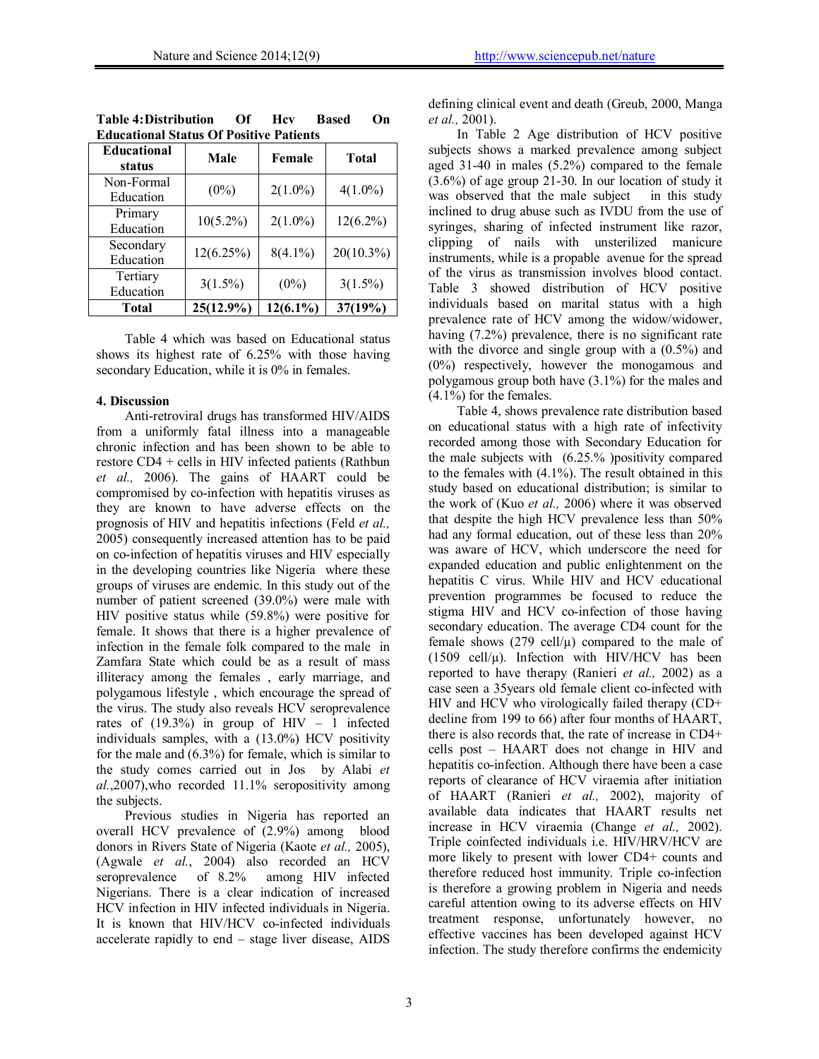| <b>Educational</b><br>status | Male         | Female      | <b>Total</b> |  |
|------------------------------|--------------|-------------|--------------|--|
| Non-Formal<br>Education      | $(0\%)$      | $2(1.0\%)$  | $4(1.0\%)$   |  |
| Primary<br>Education         | $10(5.2\%)$  | $2(1.0\%)$  | $12(6.2\%)$  |  |
| Secondary<br>Education       | 12(6.25%)    | $8(4.1\%)$  | $20(10.3\%)$ |  |
| Tertiary<br>Education        | $3(1.5\%)$   | $(0\%)$     | $3(1.5\%)$   |  |
| Total                        | $25(12.9\%)$ | $12(6.1\%)$ | 37(19%)      |  |

|                                                | <b>Based</b><br>$\Omega$ n |
|------------------------------------------------|----------------------------|
| <b>Educational Status Of Positive Patients</b> |                            |

Table 4 which was based on Educational status shows its highest rate of 6.25% with those having secondary Education, while it is 0% in females.

#### **4. Discussion**

Anti-retroviral drugs has transformed HIV/AIDS from a uniformly fatal illness into a manageable chronic infection and has been shown to be able to restore CD4 + cells in HIV infected patients (Rathbun *et al.,* 2006). The gains of HAART could be compromised by co-infection with hepatitis viruses as they are known to have adverse effects on the prognosis of HIV and hepatitis infections (Feld *et al.,* 2005) consequently increased attention has to be paid on co-infection of hepatitis viruses and HIV especially in the developing countries like Nigeria where these groups of viruses are endemic. In this study out of the number of patient screened (39.0%) were male with HIV positive status while (59.8%) were positive for female. It shows that there is a higher prevalence of infection in the female folk compared to the male in Zamfara State which could be as a result of mass illiteracy among the females , early marriage, and polygamous lifestyle , which encourage the spread of the virus. The study also reveals HCV seroprevalence rates of  $(19.3\%)$  in group of HIV – 1 infected individuals samples, with a (13.0%) HCV positivity for the male and  $(6.3\%)$  for female, which is similar to the study comes carried out in Jos by Alabi *et al.*,2007),who recorded 11.1% seropositivity among the subjects.

Previous studies in Nigeria has reported an overall HCV prevalence of (2.9%) among blood donors in Rivers State of Nigeria (Kaote *et al.,* 2005), (Agwale *et al.*, 2004) also recorded an HCV seroprevalence of 8.2% among HIV infected seroprevalence of 8.2% among HIV infected Nigerians. There is a clear indication of increased HCV infection in HIV infected individuals in Nigeria. It is known that HIV/HCV co-infected individuals accelerate rapidly to end – stage liver disease, AIDS

defining clinical event and death (Greub, 2000, Manga *et al.,* 2001).

In Table 2 Age distribution of HCV positive subjects shows a marked prevalence among subject aged 31-40 in males (5.2%) compared to the female (3.6%) of age group 21-30. In our location of study it was observed that the male subject in this study inclined to drug abuse such as IVDU from the use of syringes, sharing of infected instrument like razor, clipping of nails with unsterilized manicure instruments, while is a propable avenue for the spread of the virus as transmission involves blood contact. Table 3 showed distribution of HCV positive individuals based on marital status with a high prevalence rate of HCV among the widow/widower, having (7.2%) prevalence, there is no significant rate with the divorce and single group with a (0.5%) and (0%) respectively, however the monogamous and polygamous group both have (3.1%) for the males and  $(4.1\%)$  for the females.

Table 4, shows prevalence rate distribution based on educational status with a high rate of infectivity recorded among those with Secondary Education for the male subjects with (6.25.% )positivity compared to the females with (4.1%). The result obtained in this study based on educational distribution; is similar to the work of (Kuo *et al.,* 2006) where it was observed that despite the high HCV prevalence less than 50% had any formal education, out of these less than 20% was aware of HCV, which underscore the need for expanded education and public enlightenment on the hepatitis C virus. While HIV and HCV educational prevention programmes be focused to reduce the stigma HIV and HCV co-infection of those having secondary education. The average CD4 count for the female shows  $(279 \text{ cell/u})$  compared to the male of (1509 cell/ $\mu$ ). Infection with HIV/HCV has been reported to have therapy (Ranieri *et al.,* 2002) as a case seen a 35years old female client co-infected with HIV and HCV who virologically failed therapy (CD+ decline from 199 to 66) after four months of HAART, there is also records that, the rate of increase in CD4+ cells post – HAART does not change in HIV and hepatitis co-infection. Although there have been a case reports of clearance of HCV viraemia after initiation of HAART (Ranieri *et al.,* 2002), majority of available data indicates that HAART results net increase in HCV viraemia (Change *et al.,* 2002). Triple coinfected individuals i.e. HIV/HRV/HCV are more likely to present with lower CD4+ counts and therefore reduced host immunity. Triple co-infection is therefore a growing problem in Nigeria and needs careful attention owing to its adverse effects on HIV treatment response, unfortunately however, no effective vaccines has been developed against HCV infection. The study therefore confirms the endemicity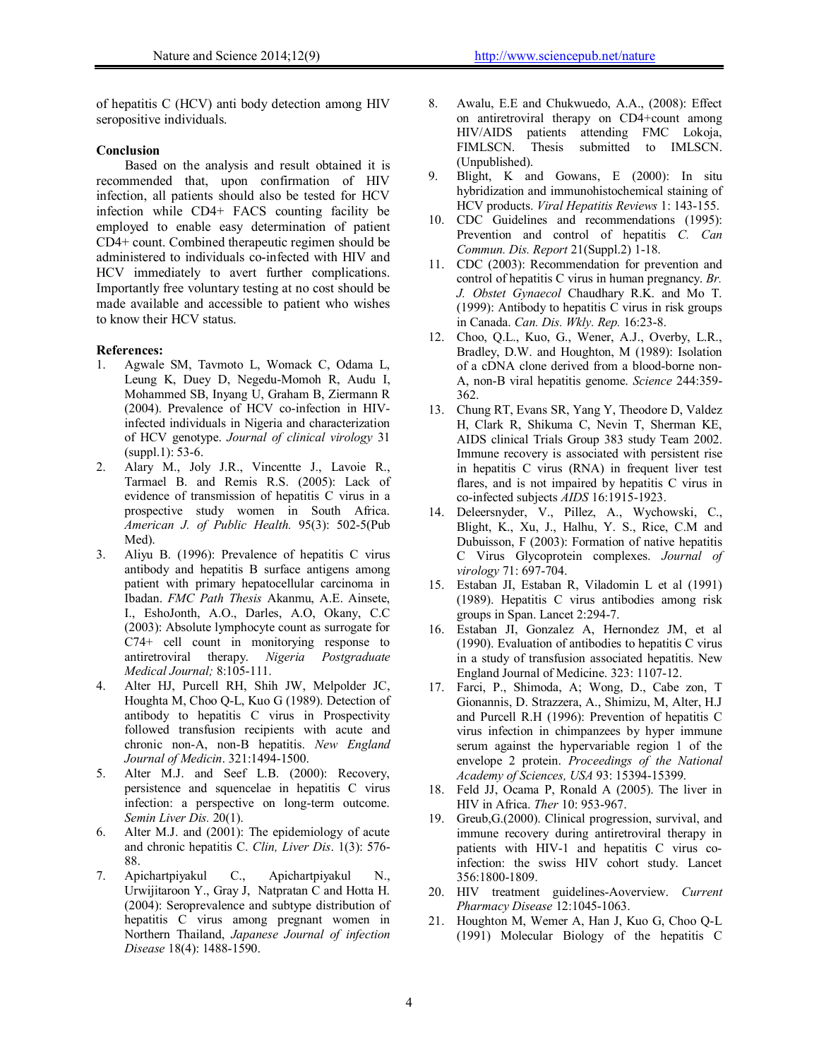of hepatitis C (HCV) anti body detection among HIV seropositive individuals.

#### **Conclusion**

Based on the analysis and result obtained it is recommended that, upon confirmation of HIV infection, all patients should also be tested for HCV infection while CD4+ FACS counting facility be employed to enable easy determination of patient CD4+ count. Combined therapeutic regimen should be administered to individuals co-infected with HIV and HCV immediately to avert further complications. Importantly free voluntary testing at no cost should be made available and accessible to patient who wishes to know their HCV status.

#### **References:**

- 1. Agwale SM, Tavmoto L, Womack C, Odama L, Leung K, Duey D, Negedu-Momoh R, Audu I, Mohammed SB, Inyang U, Graham B, Ziermann R (2004). Prevalence of HCV co-infection in HIVinfected individuals in Nigeria and characterization of HCV genotype. *Journal of clinical virology* 31 (suppl.1): 53-6.
- 2. Alary M., Joly J.R., Vincentte J., Lavoie R., Tarmael B. and Remis R.S. (2005): Lack of evidence of transmission of hepatitis C virus in a prospective study women in South Africa. *American J. of Public Health.* 95(3): 502-5(Pub Med).
- 3. Aliyu B. (1996): Prevalence of hepatitis C virus antibody and hepatitis B surface antigens among patient with primary hepatocellular carcinoma in Ibadan. *FMC Path Thesis* Akanmu, A.E. Ainsete, I., EshoJonth, A.O., Darles, A.O, Okany, C.C (2003): Absolute lymphocyte count as surrogate for  $C74+$  cell count in monitorying response to antiretroviral therapy. *Nigeria Postgraduate* therapy. *Nigeria Postgraduate Medical Journal;* 8:105-111.
- 4. Alter HJ, Purcell RH, Shih JW, Melpolder JC, Houghta M, Choo Q-L, Kuo G (1989). Detection of antibody to hepatitis C virus in Prospectivity followed transfusion recipients with acute and chronic non-A, non-B hepatitis. *New England Journal of Medicin*. 321:1494-1500.
- 5. Alter M.J. and Seef L.B. (2000): Recovery, persistence and squencelae in hepatitis C virus infection: a perspective on long-term outcome. *Semin Liver Dis.* 20(1).
- 6. Alter M.J. and (2001): The epidemiology of acute and chronic hepatitis C. *Clin, Liver Dis*. 1(3): 576- 88.
- 7. Apichartpiyakul C., Apichartpiyakul N., Urwijitaroon Y., Gray J, Natpratan C and Hotta H. (2004): Seroprevalence and subtype distribution of hepatitis C virus among pregnant women in Northern Thailand, *Japanese Journal of infection Disease* 18(4): 1488-1590.
- 8. Awalu, E.E and Chukwuedo, A.A., (2008): Effect on antiretroviral therapy on CD4+count among HIV/AIDS patients attending FMC Lokoja, FIMLSCN. Thesis submitted to IMLSCN. (Unpublished).
- 9. Blight, K and Gowans, E (2000): In situ hybridization and immunohistochemical staining of HCV products. *Viral Hepatitis Reviews* 1: 143-155.
- 10. CDC Guidelines and recommendations (1995): Prevention and control of hepatitis *C. Can Commun. Dis. Report* 21(Suppl.2) 1-18.
- 11. CDC (2003): Recommendation for prevention and control of hepatitis C virus in human pregnancy. *Br. J. Obstet Gynaecol* Chaudhary R.K. and Mo T. (1999): Antibody to hepatitis C virus in risk groups in Canada. *Can. Dis. Wkly. Rep.* 16:23-8.
- 12. Choo, Q.L., Kuo, G., Wener, A.J., Overby, L.R., Bradley, D.W. and Houghton, M (1989): Isolation of a cDNA clone derived from a blood-borne non-A, non-B viral hepatitis genome. *Science* 244:359- 362.
- 13. Chung RT, Evans SR, Yang Y, Theodore D, Valdez H, Clark R, Shikuma C, Nevin T, Sherman KE, AIDS clinical Trials Group 383 study Team 2002. Immune recovery is associated with persistent rise in hepatitis C virus (RNA) in frequent liver test flares, and is not impaired by hepatitis C virus in co-infected subjects *AIDS* 16:1915-1923.
- 14. Deleersnyder, V., Pillez, A., Wychowski, C., Blight, K., Xu, J., Halhu, Y. S., Rice, C.M and Dubuisson, F (2003): Formation of native hepatitis C Virus Glycoprotein complexes. *Journal of virology* 71: 697-704.
- 15. Estaban JI, Estaban R, Viladomin L et al (1991) (1989). Hepatitis C virus antibodies among risk groups in Span. Lancet 2:294-7.
- 16. Estaban JI, Gonzalez A, Hernondez JM, et al (1990). Evaluation of antibodies to hepatitis C virus in a study of transfusion associated hepatitis. New England Journal of Medicine. 323: 1107-12.
- 17. Farci, P., Shimoda, A; Wong, D., Cabe zon, T Gionannis, D. Strazzera, A., Shimizu, M, Alter, H.J and Purcell R.H (1996): Prevention of hepatitis C virus infection in chimpanzees by hyper immune serum against the hypervariable region 1 of the envelope 2 protein. *Proceedings of the National Academy of Sciences, USA* 93: 15394-15399.
- 18. Feld JJ, Ocama P, Ronald A (2005). The liver in HIV in Africa. *Ther* 10: 953-967.
- 19. Greub,G.(2000). Clinical progression, survival, and immune recovery during antiretroviral therapy in patients with HIV-1 and hepatitis C virus coinfection: the swiss HIV cohort study. Lancet 356:1800-1809.
- 20. HIV treatment guidelines-Aoverview. *Current Pharmacy Disease* 12:1045-1063.
- 21. Houghton M, Wemer A, Han J, Kuo G, Choo Q-L (1991) Molecular Biology of the hepatitis C